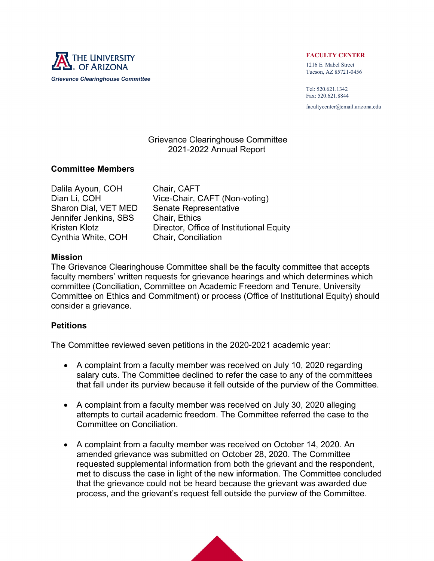

## FACULTY CENTER

1216 E. Mabel Street Tucson, AZ 85721-0456

Tel: 520.621.1342 Fax: 520.621.8844 facultycenter@email.arizona.edu

# Grievance Clearinghouse Committee 2021-2022 Annual Report

# Committee Members

Dalila Ayoun, COH Chair, CAFT Jennifer Jenkins, SBS Chair, Ethics Cynthia White, COH Chair, Conciliation

Dian Li, COH Vice-Chair, CAFT (Non-voting) Sharon Dial, VET MED Senate Representative Kristen Klotz **Director**, Office of Institutional Equity

# Mission

The Grievance Clearinghouse Committee shall be the faculty committee that accepts faculty members' written requests for grievance hearings and which determines which committee (Conciliation, Committee on Academic Freedom and Tenure, University Committee on Ethics and Commitment) or process (Office of Institutional Equity) should consider a grievance.

# **Petitions**

The Committee reviewed seven petitions in the 2020-2021 academic year:

- A complaint from a faculty member was received on July 10, 2020 regarding salary cuts. The Committee declined to refer the case to any of the committees that fall under its purview because it fell outside of the purview of the Committee.
- A complaint from a faculty member was received on July 30, 2020 alleging attempts to curtail academic freedom. The Committee referred the case to the Committee on Conciliation.
- A complaint from a faculty member was received on October 14, 2020. An amended grievance was submitted on October 28, 2020. The Committee requested supplemental information from both the grievant and the respondent, met to discuss the case in light of the new information. The Committee concluded that the grievance could not be heard because the grievant was awarded due process, and the grievant's request fell outside the purview of the Committee.